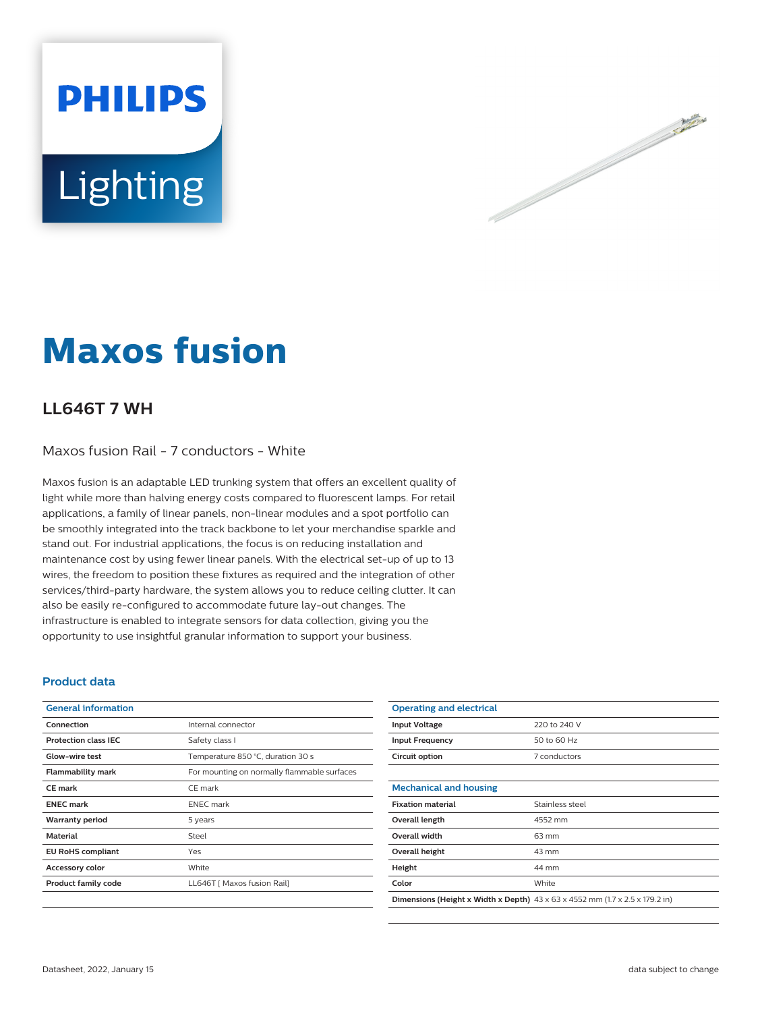



# **Maxos fusion**

### **LL646T 7 WH**

Maxos fusion Rail - 7 conductors - White

Maxos fusion is an adaptable LED trunking system that offers an excellent quality of light while more than halving energy costs compared to fluorescent lamps. For retail applications, a family of linear panels, non-linear modules and a spot portfolio can be smoothly integrated into the track backbone to let your merchandise sparkle and stand out. For industrial applications, the focus is on reducing installation and maintenance cost by using fewer linear panels. With the electrical set-up of up to 13 wires, the freedom to position these fixtures as required and the integration of other services/third-party hardware, the system allows you to reduce ceiling clutter. It can also be easily re-configured to accommodate future lay-out changes. The infrastructure is enabled to integrate sensors for data collection, giving you the opportunity to use insightful granular information to support your business.

#### **Product data**

| <b>General information</b>  |                                             |
|-----------------------------|---------------------------------------------|
| Connection                  | Internal connector                          |
| <b>Protection class IEC</b> | Safety class I                              |
| Glow-wire test              | Temperature 850 °C, duration 30 s           |
| <b>Flammability mark</b>    | For mounting on normally flammable surfaces |
| <b>CE</b> mark              | CE mark                                     |
| <b>ENEC mark</b>            | <b>ENEC</b> mark                            |
| <b>Warranty period</b>      | 5 years                                     |
| <b>Material</b>             | Steel                                       |
| <b>EU RoHS compliant</b>    | Yes                                         |
| <b>Accessory color</b>      | White                                       |
| <b>Product family code</b>  | LL646T   Maxos fusion Rail]                 |
|                             |                                             |

| <b>Operating and electrical</b>                                                                 |                 |
|-------------------------------------------------------------------------------------------------|-----------------|
| <b>Input Voltage</b>                                                                            | 220 to 240 V    |
| <b>Input Frequency</b>                                                                          | 50 to 60 Hz     |
| Circuit option                                                                                  | 7 conductors    |
|                                                                                                 |                 |
| <b>Mechanical and housing</b>                                                                   |                 |
| <b>Fixation material</b>                                                                        | Stainless steel |
| Overall length                                                                                  | 4552 mm         |
| <b>Overall width</b>                                                                            | 63 mm           |
| Overall height                                                                                  | 43 mm           |
| Height                                                                                          | 44 mm           |
| Color                                                                                           | White           |
| <b>Dimensions (Height x Width x Depth)</b> $43 \times 63 \times 4552$ mm (1.7 x 2.5 x 179.2 in) |                 |